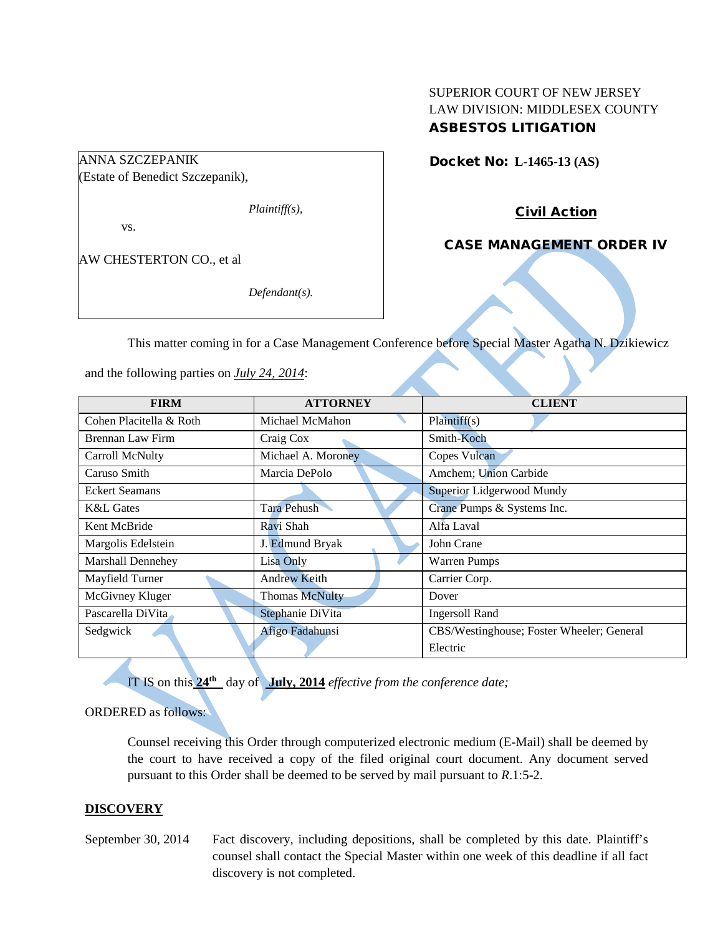## SUPERIOR COURT OF NEW JERSEY LAW DIVISION: MIDDLESEX COUNTY ASBESTOS LITIGATION

# ANNA SZCZEPANIK

(Estate of Benedict Szczepanik),

*Plaintiff(s),*

vs.

AW CHESTERTON CO., et al

*Defendant(s).*

Docket No: **L-1465-13 (AS)** 

Civil Action

CASE MANAGEMENT ORDER IV

This matter coming in for a Case Management Conference before Special Master Agatha N. Dzikiewicz

and the following parties on *July 24, 2014*:

| <b>FIRM</b>             | <b>ATTORNEY</b>       | <b>CLIENT</b>                             |
|-------------------------|-----------------------|-------------------------------------------|
| Cohen Placitella & Roth | Michael McMahon       | Plaintiff(s)                              |
| Brennan Law Firm        | Craig Cox             | Smith-Koch                                |
| Carroll McNulty         | Michael A. Moroney    | Copes Vulcan                              |
| Caruso Smith            | Marcia DePolo         | Amchem; Union Carbide                     |
| <b>Eckert Seamans</b>   |                       | Superior Lidgerwood Mundy                 |
| K&L Gates               | <b>Tara Pehush</b>    | Crane Pumps & Systems Inc.                |
| Kent McBride            | Ravi Shah             | Alfa Laval                                |
| Margolis Edelstein      | J. Edmund Bryak       | John Crane                                |
| Marshall Dennehey       | Lisa Only             | <b>Warren Pumps</b>                       |
| Mayfield Turner         | <b>Andrew Keith</b>   | Carrier Corp.                             |
| McGivney Kluger         | <b>Thomas McNulty</b> | Dover                                     |
| Pascarella DiVita       | Stephanie DiVita      | <b>Ingersoll Rand</b>                     |
| Sedgwick                | Afigo Fadahunsi       | CBS/Westinghouse; Foster Wheeler; General |
|                         |                       | Electric                                  |

IT IS on this **24th** day of **July, 2014** *effective from the conference date;*

## ORDERED as follows:

Counsel receiving this Order through computerized electronic medium (E-Mail) shall be deemed by the court to have received a copy of the filed original court document. Any document served pursuant to this Order shall be deemed to be served by mail pursuant to *R*.1:5-2.

## **DISCOVERY**

September 30, 2014 Fact discovery, including depositions, shall be completed by this date. Plaintiff's counsel shall contact the Special Master within one week of this deadline if all fact discovery is not completed.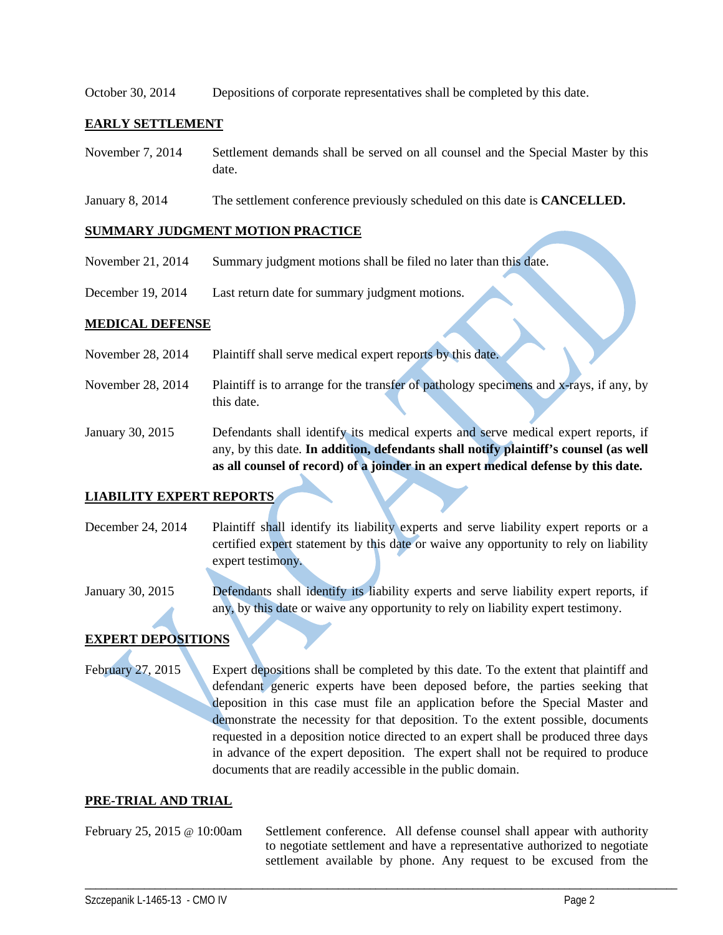October 30, 2014 Depositions of corporate representatives shall be completed by this date.

### **EARLY SETTLEMENT**

- November 7, 2014 Settlement demands shall be served on all counsel and the Special Master by this date.
- January 8, 2014 The settlement conference previously scheduled on this date is **CANCELLED.**

#### **SUMMARY JUDGMENT MOTION PRACTICE**

- November 21, 2014 Summary judgment motions shall be filed no later than this date.
- December 19, 2014 Last return date for summary judgment motions.

#### **MEDICAL DEFENSE**

- November 28, 2014 Plaintiff shall serve medical expert reports by this date.
- November 28, 2014 Plaintiff is to arrange for the transfer of pathology specimens and x-rays, if any, by this date.
- January 30, 2015 Defendants shall identify its medical experts and serve medical expert reports, if any, by this date. **In addition, defendants shall notify plaintiff's counsel (as well as all counsel of record) of a joinder in an expert medical defense by this date.**

### **LIABILITY EXPERT REPORTS**

- December 24, 2014 Plaintiff shall identify its liability experts and serve liability expert reports or a certified expert statement by this date or waive any opportunity to rely on liability expert testimony.
- January 30, 2015 Defendants shall identify its liability experts and serve liability expert reports, if any, by this date or waive any opportunity to rely on liability expert testimony.

## **EXPERT DEPOSITIONS**

February 27, 2015 Expert depositions shall be completed by this date. To the extent that plaintiff and defendant generic experts have been deposed before, the parties seeking that deposition in this case must file an application before the Special Master and demonstrate the necessity for that deposition. To the extent possible, documents requested in a deposition notice directed to an expert shall be produced three days in advance of the expert deposition. The expert shall not be required to produce documents that are readily accessible in the public domain.

#### **PRE-TRIAL AND TRIAL**

February 25, 2015 @ 10:00am Settlement conference. All defense counsel shall appear with authority to negotiate settlement and have a representative authorized to negotiate settlement available by phone. Any request to be excused from the

\_\_\_\_\_\_\_\_\_\_\_\_\_\_\_\_\_\_\_\_\_\_\_\_\_\_\_\_\_\_\_\_\_\_\_\_\_\_\_\_\_\_\_\_\_\_\_\_\_\_\_\_\_\_\_\_\_\_\_\_\_\_\_\_\_\_\_\_\_\_\_\_\_\_\_\_\_\_\_\_\_\_\_\_\_\_\_\_\_\_\_\_\_\_\_\_\_\_\_\_\_\_\_\_\_\_\_\_\_\_